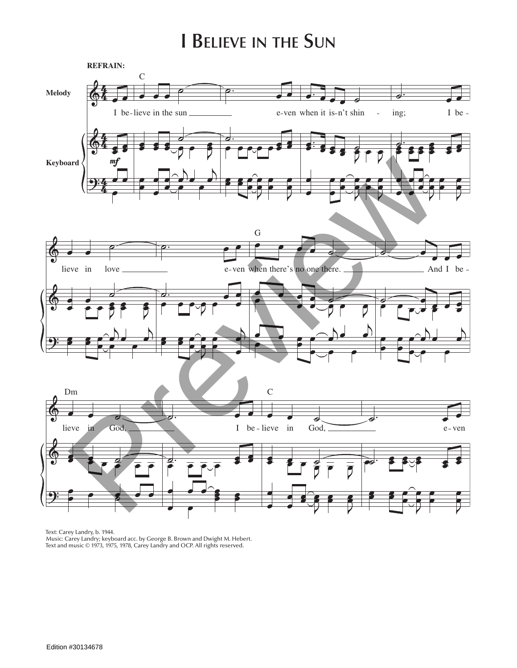## **I Believe in the Sun**



Text: Carey Landry, b. 1944.

Music: Carey Landry; keyboard acc. by George B. Brown and Dwight M. Hebert. Text and music © 1973, 1975, 1978, Carey Landry and OCP. All rights reserved.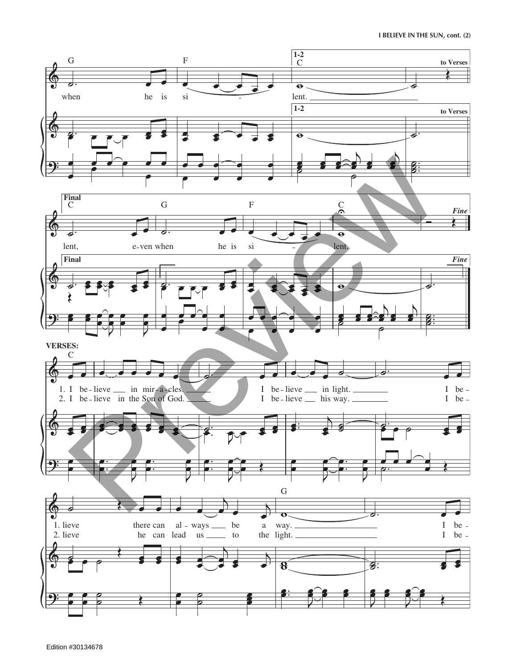